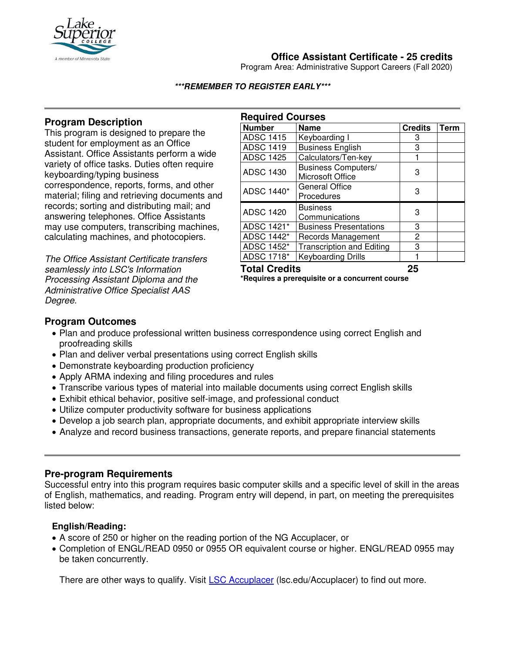

# **Office Assistant Certificate - 25 credits**

Program Area: Administrative Support Careers (Fall 2020)

#### **\*\*\*REMEMBER TO REGISTER EARLY\*\*\***

### **Program Description**

This program is designed to prepare the student for employment as an Office Assistant. Office Assistants perform a wide variety of office tasks. Duties often require keyboarding/typing business correspondence, reports, forms, and other material; filing and retrieving documents and records; sorting and distributing mail; and answering telephones. Office Assistants may use computers, transcribing machines, calculating machines, and photocopiers.

*The Office Assistant Certificate transfers seamlessly into LSC's Information Processing Assistant Diploma and the Administrative Office Specialist AAS Degree.* 

| <b>Required Courses</b> |                                                |                |             |
|-------------------------|------------------------------------------------|----------------|-------------|
| <b>Number</b>           | <b>Name</b>                                    | <b>Credits</b> | <b>Term</b> |
| <b>ADSC 1415</b>        | Keyboarding I                                  | 3              |             |
| <b>ADSC 1419</b>        | <b>Business English</b>                        | 3              |             |
| <b>ADSC 1425</b>        | Calculators/Ten-key                            |                |             |
| <b>ADSC 1430</b>        | <b>Business Computers/</b><br>Microsoft Office | З              |             |
| ADSC 1440*              | <b>General Office</b><br>Procedures            | З              |             |
| <b>ADSC 1420</b>        | <b>Business</b><br>Communications              | З              |             |
| ADSC 1421*              | <b>Business Presentations</b>                  | 3              |             |
| ADSC 1442*              | Records Management                             | 2              |             |
| ADSC 1452*              | <b>Transcription and Editing</b>               | 3              |             |
| ADSC 1718*              | Keyboarding Drills                             |                |             |

**Total Credits 25 \*Requires a prerequisite or a concurrent course**

## **Program Outcomes**

- Plan and produce professional written business correspondence using correct English and proofreading skills
- Plan and deliver verbal presentations using correct English skills
- Demonstrate keyboarding production proficiency
- Apply ARMA indexing and filing procedures and rules
- Transcribe various types of material into mailable documents using correct English skills
- Exhibit ethical behavior, positive self-image, and professional conduct
- Utilize computer productivity software for business applications
- Develop a job search plan, appropriate documents, and exhibit appropriate interview skills
- Analyze and record business transactions, generate reports, and prepare financial statements

#### **Pre-program Requirements**

Successful entry into this program requires basic computer skills and a specific level of skill in the areas of English, mathematics, and reading. Program entry will depend, in part, on meeting the prerequisites listed below:

### **English/Reading:**

- A score of 250 or higher on the reading portion of the NG Accuplacer, or
- Completion of ENGL/READ 0950 or 0955 OR equivalent course or higher. ENGL/READ 0955 may be taken concurrently.

There are other ways to qualify. Visit **[LSC Accuplacer](https://www.lsc.edu/accuplacer/)** (Isc.edu/Accuplacer) to find out more.